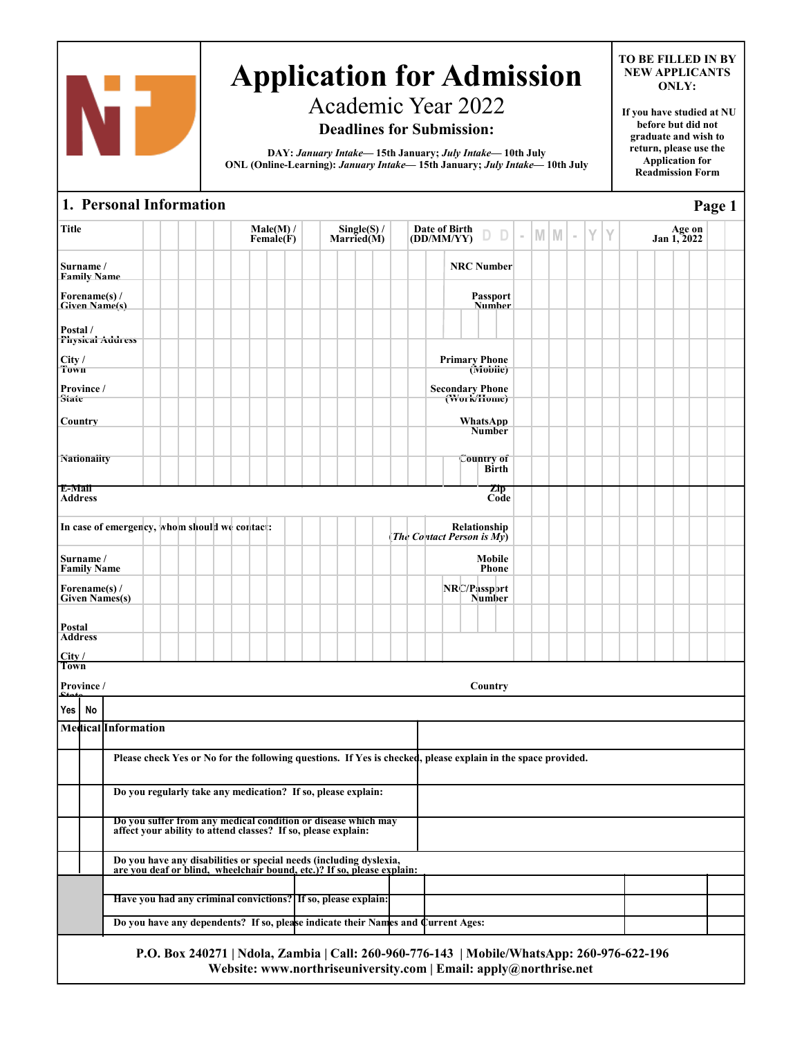

# Academic Year 2022

# **Deadlines for Submission:**

**DAY:** *January Intake—* **15th January;** *July Intake—* **10th July ONL (Online-Learning):** *January Intake—* **15th January;** *July Intake—* **10th July**

#### **TO BE FILLED IN BY NEW APPLICANTS ONLY:**

**If you have studied at NU before but did not graduate and wish to return, please use the Application for Readmission Form**

**Page 1**

## **1. Personal Information**

| Title             |                                 |                                                                                                                                              |  |  |  | Male(M) /<br>Female(F) |  | Single(S) /<br>Married(M) |  |  | Date of Birth<br>$\overline{OD/MM/YY}$ $\Box$                                                                                                                   |                                  | $\sim$ | M M | $\sim$ | Y | Y |  | Age on<br>Jan 1, 2022 |  |  |
|-------------------|---------------------------------|----------------------------------------------------------------------------------------------------------------------------------------------|--|--|--|------------------------|--|---------------------------|--|--|-----------------------------------------------------------------------------------------------------------------------------------------------------------------|----------------------------------|--------|-----|--------|---|---|--|-----------------------|--|--|
|                   | Surname /<br>Family Name        |                                                                                                                                              |  |  |  |                        |  |                           |  |  |                                                                                                                                                                 | <b>NRC Number</b>                |        |     |        |   |   |  |                       |  |  |
|                   | Forename(s) /                   | <b>Given Name(s)</b>                                                                                                                         |  |  |  |                        |  |                           |  |  |                                                                                                                                                                 | <b>Passport</b><br><b>Number</b> |        |     |        |   |   |  |                       |  |  |
| Postal /          |                                 | Physical Address                                                                                                                             |  |  |  |                        |  |                           |  |  |                                                                                                                                                                 |                                  |        |     |        |   |   |  |                       |  |  |
| City/<br>Town     |                                 |                                                                                                                                              |  |  |  |                        |  |                           |  |  | <b>Primary Phone</b>                                                                                                                                            | (Mobile)                         |        |     |        |   |   |  |                       |  |  |
| State             | Province /                      |                                                                                                                                              |  |  |  |                        |  |                           |  |  | <b>Secondary Phone</b><br>(Work/Home)                                                                                                                           |                                  |        |     |        |   |   |  |                       |  |  |
| Country           |                                 |                                                                                                                                              |  |  |  |                        |  |                           |  |  |                                                                                                                                                                 | WhatsApp<br>Number               |        |     |        |   |   |  |                       |  |  |
|                   | <b>Nationality</b>              |                                                                                                                                              |  |  |  |                        |  |                           |  |  |                                                                                                                                                                 | <b>Country of</b><br>Birth       |        |     |        |   |   |  |                       |  |  |
| E-Mail<br>Address |                                 |                                                                                                                                              |  |  |  |                        |  |                           |  |  |                                                                                                                                                                 | Zip<br>Code                      |        |     |        |   |   |  |                       |  |  |
|                   |                                 | In case of emergency, whom should we contact:                                                                                                |  |  |  |                        |  |                           |  |  | The Contact Person is $Mv)$                                                                                                                                     | Relationship                     |        |     |        |   |   |  |                       |  |  |
|                   | Surname /<br><b>Family Name</b> |                                                                                                                                              |  |  |  |                        |  |                           |  |  |                                                                                                                                                                 | Mobile<br><b>Phone</b>           |        |     |        |   |   |  |                       |  |  |
|                   | Forename(s) /                   | <b>Given Names(s)</b>                                                                                                                        |  |  |  |                        |  |                           |  |  | NRC/Passport                                                                                                                                                    | <b>Number</b>                    |        |     |        |   |   |  |                       |  |  |
| Postal            |                                 |                                                                                                                                              |  |  |  |                        |  |                           |  |  |                                                                                                                                                                 |                                  |        |     |        |   |   |  |                       |  |  |
| City/<br>Town     | <b>Address</b>                  |                                                                                                                                              |  |  |  |                        |  |                           |  |  |                                                                                                                                                                 |                                  |        |     |        |   |   |  |                       |  |  |
|                   | Province /                      |                                                                                                                                              |  |  |  |                        |  |                           |  |  |                                                                                                                                                                 | Country                          |        |     |        |   |   |  |                       |  |  |
| Yes I             | No                              |                                                                                                                                              |  |  |  |                        |  |                           |  |  |                                                                                                                                                                 |                                  |        |     |        |   |   |  |                       |  |  |
|                   |                                 | Medical Information                                                                                                                          |  |  |  |                        |  |                           |  |  |                                                                                                                                                                 |                                  |        |     |        |   |   |  |                       |  |  |
|                   |                                 | Please check Yes or No for the following questions. If Yes is checked, please explain in the space provided.                                 |  |  |  |                        |  |                           |  |  |                                                                                                                                                                 |                                  |        |     |        |   |   |  |                       |  |  |
|                   |                                 | Do you regularly take any medication? If so, please explain:                                                                                 |  |  |  |                        |  |                           |  |  |                                                                                                                                                                 |                                  |        |     |        |   |   |  |                       |  |  |
|                   |                                 | Do you suffer from any medical condition or disease which may<br>affect your ability to attend classes? If so, please explain:               |  |  |  |                        |  |                           |  |  |                                                                                                                                                                 |                                  |        |     |        |   |   |  |                       |  |  |
|                   |                                 | Do you have any disabilities or special needs (including dyslexia,<br>are you deaf or blind, wheelchair bound, etc.)? If so, please explain: |  |  |  |                        |  |                           |  |  |                                                                                                                                                                 |                                  |        |     |        |   |   |  |                       |  |  |
|                   |                                 |                                                                                                                                              |  |  |  |                        |  |                           |  |  |                                                                                                                                                                 |                                  |        |     |        |   |   |  |                       |  |  |
|                   |                                 | Have you had any criminal convictions? If so, please explain:                                                                                |  |  |  |                        |  |                           |  |  |                                                                                                                                                                 |                                  |        |     |        |   |   |  |                       |  |  |
|                   |                                 | Do you have any dependents? If so, please indicate their Names and Current Ages:                                                             |  |  |  |                        |  |                           |  |  |                                                                                                                                                                 |                                  |        |     |        |   |   |  |                       |  |  |
|                   |                                 |                                                                                                                                              |  |  |  |                        |  |                           |  |  | P.O. Box 240271   Ndola, Zambia   Call: 260-960-776-143   Mobile/WhatsApp: 260-976-622-196<br>Website: www.northriseuniversity.com   Email: apply@northrise.net |                                  |        |     |        |   |   |  |                       |  |  |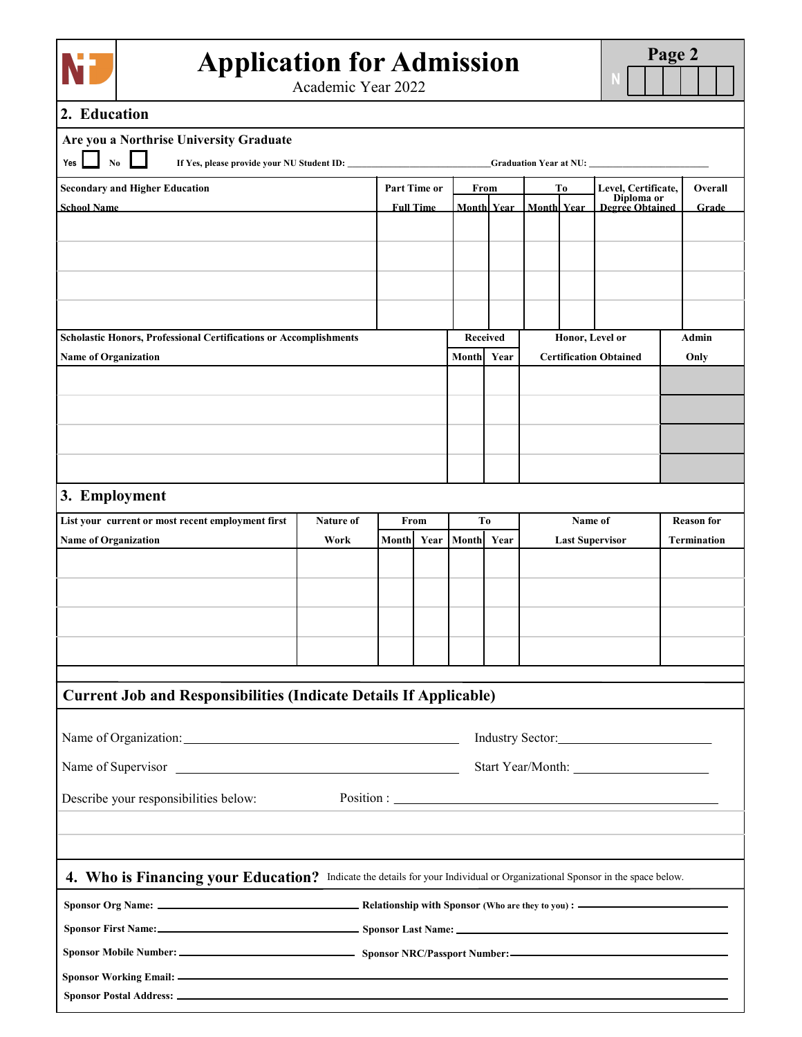

Academic Year 2022

# **2. Education**

**Sponsor Postal Address:**

| Are you a Northrise University Graduate                                                                                    |                   |       |                  |                 |                    |                    |         |                                      |                                         |
|----------------------------------------------------------------------------------------------------------------------------|-------------------|-------|------------------|-----------------|--------------------|--------------------|---------|--------------------------------------|-----------------------------------------|
| Yes<br>N <sub>0</sub>                                                                                                      |                   |       |                  |                 |                    |                    |         |                                      |                                         |
| <b>Secondary and Higher Education</b>                                                                                      |                   |       | Part Time or     | From            |                    |                    | Tо      | Level, Certificate,                  | Overall                                 |
| <b>School Name</b>                                                                                                         |                   |       | <b>Full Time</b> |                 | <b>Monthl Year</b> | <b>Monthl Year</b> |         | Diploma or<br><b>Degree Obtained</b> | Grade                                   |
|                                                                                                                            |                   |       |                  |                 |                    |                    |         |                                      |                                         |
|                                                                                                                            |                   |       |                  |                 |                    |                    |         |                                      |                                         |
|                                                                                                                            |                   |       |                  |                 |                    |                    |         |                                      |                                         |
|                                                                                                                            |                   |       |                  |                 |                    |                    |         |                                      |                                         |
|                                                                                                                            |                   |       |                  |                 |                    |                    |         |                                      |                                         |
| <b>Scholastic Honors, Professional Certifications or Accomplishments</b>                                                   |                   |       |                  | <b>Received</b> |                    |                    |         | Honor, Level or                      | Admin                                   |
| <b>Name of Organization</b>                                                                                                |                   |       |                  | Month           | Year               |                    |         | <b>Certification Obtained</b>        | Only                                    |
|                                                                                                                            |                   |       |                  |                 |                    |                    |         |                                      |                                         |
|                                                                                                                            |                   |       |                  |                 |                    |                    |         |                                      |                                         |
|                                                                                                                            |                   |       |                  |                 |                    |                    |         |                                      |                                         |
|                                                                                                                            |                   |       |                  |                 |                    |                    |         |                                      |                                         |
|                                                                                                                            |                   |       |                  |                 |                    |                    |         |                                      |                                         |
| 3. Employment                                                                                                              |                   |       |                  |                 |                    |                    |         |                                      |                                         |
| List your current or most recent employment first<br><b>Name of Organization</b>                                           | Nature of<br>Work | Month | From<br>Year     | Tо<br>Month     | Year               |                    | Name of | <b>Last Supervisor</b>               | <b>Reason</b> for<br><b>Termination</b> |
|                                                                                                                            |                   |       |                  |                 |                    |                    |         |                                      |                                         |
|                                                                                                                            |                   |       |                  |                 |                    |                    |         |                                      |                                         |
|                                                                                                                            |                   |       |                  |                 |                    |                    |         |                                      |                                         |
|                                                                                                                            |                   |       |                  |                 |                    |                    |         |                                      |                                         |
|                                                                                                                            |                   |       |                  |                 |                    |                    |         |                                      |                                         |
|                                                                                                                            |                   |       |                  |                 |                    |                    |         |                                      |                                         |
| <b>Current Job and Responsibilities (Indicate Details If Applicable)</b>                                                   |                   |       |                  |                 |                    |                    |         |                                      |                                         |
|                                                                                                                            |                   |       |                  |                 |                    |                    |         |                                      |                                         |
|                                                                                                                            |                   |       |                  |                 |                    |                    |         |                                      |                                         |
|                                                                                                                            |                   |       |                  |                 |                    |                    |         |                                      |                                         |
| Describe your responsibilities below:                                                                                      |                   |       |                  |                 |                    |                    |         |                                      |                                         |
|                                                                                                                            |                   |       |                  |                 |                    |                    |         |                                      |                                         |
|                                                                                                                            |                   |       |                  |                 |                    |                    |         |                                      |                                         |
|                                                                                                                            |                   |       |                  |                 |                    |                    |         |                                      |                                         |
| 4. Who is Financing your Education? Indicate the details for your Individual or Organizational Sponsor in the space below. |                   |       |                  |                 |                    |                    |         |                                      |                                         |
|                                                                                                                            |                   |       |                  |                 |                    |                    |         |                                      |                                         |
| Sponsor First Name: Sponsor Last Name: Sponsor Last Name:                                                                  |                   |       |                  |                 |                    |                    |         |                                      |                                         |
|                                                                                                                            |                   |       |                  |                 |                    |                    |         |                                      |                                         |
|                                                                                                                            |                   |       |                  |                 |                    |                    |         |                                      |                                         |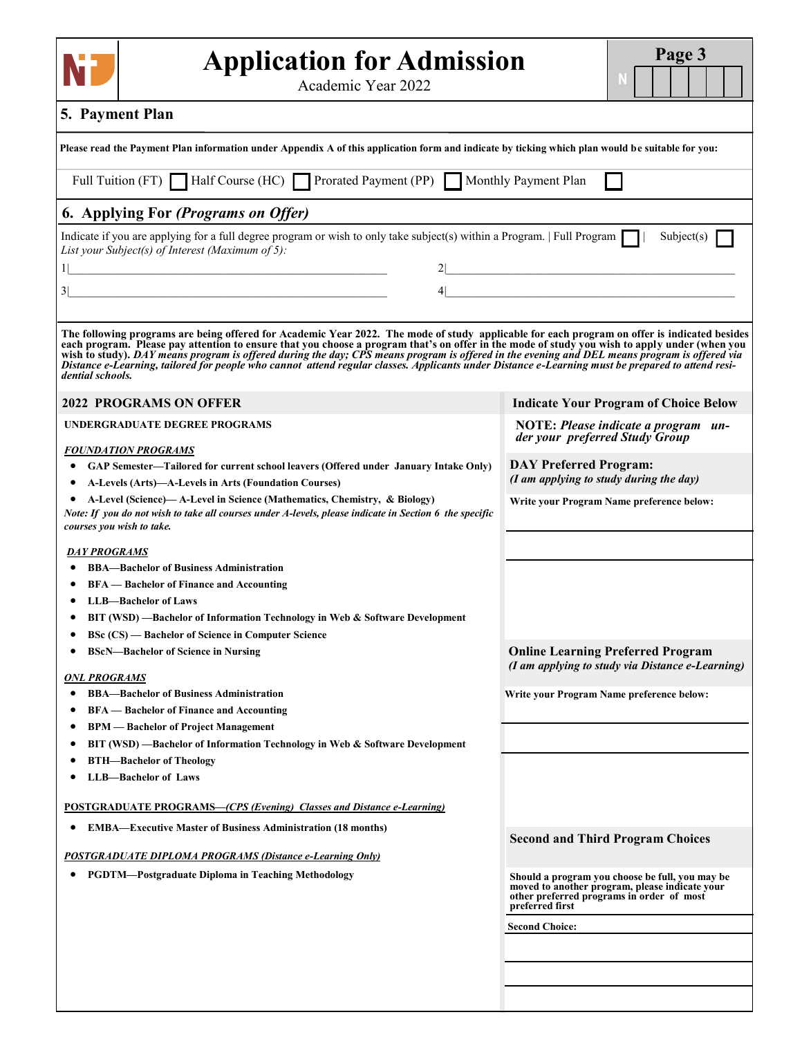| <b>Application for Admission</b><br>Academic Year 2022                                                                                                                                                                                                                                                                                                                                                                                                                                                                                                 |                                         | Page 3                                                                                                                                         |
|--------------------------------------------------------------------------------------------------------------------------------------------------------------------------------------------------------------------------------------------------------------------------------------------------------------------------------------------------------------------------------------------------------------------------------------------------------------------------------------------------------------------------------------------------------|-----------------------------------------|------------------------------------------------------------------------------------------------------------------------------------------------|
| 5. Payment Plan                                                                                                                                                                                                                                                                                                                                                                                                                                                                                                                                        |                                         |                                                                                                                                                |
| Please read the Payment Plan information under Appendix A of this application form and indicate by ticking which plan would be suitable for you:                                                                                                                                                                                                                                                                                                                                                                                                       |                                         |                                                                                                                                                |
| Full Tuition (FT) Half Course (HC) Prorated Payment (PP) Monthly Payment Plan                                                                                                                                                                                                                                                                                                                                                                                                                                                                          |                                         |                                                                                                                                                |
| 6. Applying For (Programs on Offer)                                                                                                                                                                                                                                                                                                                                                                                                                                                                                                                    |                                         |                                                                                                                                                |
| Indicate if you are applying for a full degree program or wish to only take subject(s) within a Program. $\lceil$ Full Program $\lceil$ $\lceil$<br>List your Subject(s) of Interest (Maximum of 5):                                                                                                                                                                                                                                                                                                                                                   |                                         | Subject(s) $\Box$                                                                                                                              |
| <u> 2000 - Jan James James Jan James James James James James James James James James James James James James Jam</u>                                                                                                                                                                                                                                                                                                                                                                                                                                   |                                         | 2                                                                                                                                              |
|                                                                                                                                                                                                                                                                                                                                                                                                                                                                                                                                                        |                                         |                                                                                                                                                |
| The following programs are being offered for Academic Year 2022. The mode of study applicable for each program on offer is indicated besides<br>each program. Please pay attention to ensure that you choose a program that's on offer in the mode of study you wish to apply under (when you<br>wish to study). DAY means program is offered during the day; CPS means program is offered in the evening and DEL means program is offered via<br>Distance e-Learning, tailored for people who cannot attend regular classes. Appl<br>dential schools. |                                         |                                                                                                                                                |
| <b>2022 PROGRAMS ON OFFER</b>                                                                                                                                                                                                                                                                                                                                                                                                                                                                                                                          |                                         | <b>Indicate Your Program of Choice Below</b>                                                                                                   |
| <b>UNDERGRADUATE DEGREE PROGRAMS</b>                                                                                                                                                                                                                                                                                                                                                                                                                                                                                                                   | der your preferred Study Group          | NOTE: Please indicate a program un-                                                                                                            |
| <b>FOUNDATION PROGRAMS</b>                                                                                                                                                                                                                                                                                                                                                                                                                                                                                                                             | <b>DAY Preferred Program:</b>           |                                                                                                                                                |
| GAP Semester—Tailored for current school leavers (Offered under January Intake Only)<br>A-Levels (Arts)—A-Levels in Arts (Foundation Courses)                                                                                                                                                                                                                                                                                                                                                                                                          | (I am applying to study during the day) |                                                                                                                                                |
| A-Level (Science)— A-Level in Science (Mathematics, Chemistry, & Biology)<br>Note: If you do not wish to take all courses under A-levels, please indicate in Section 6 the specific<br>courses you wish to take.                                                                                                                                                                                                                                                                                                                                       |                                         | Write your Program Name preference below:                                                                                                      |
| <b>DAY PROGRAMS</b>                                                                                                                                                                                                                                                                                                                                                                                                                                                                                                                                    |                                         |                                                                                                                                                |
| <b>BBA-Bachelor of Business Administration</b>                                                                                                                                                                                                                                                                                                                                                                                                                                                                                                         |                                         |                                                                                                                                                |
| <b>BFA</b> — Bachelor of Finance and Accounting<br><b>LLB-Bachelor of Laws</b>                                                                                                                                                                                                                                                                                                                                                                                                                                                                         |                                         |                                                                                                                                                |
| BIT (WSD) —Bachelor of Information Technology in Web & Software Development                                                                                                                                                                                                                                                                                                                                                                                                                                                                            |                                         |                                                                                                                                                |
| <b>BSc (CS) — Bachelor of Science in Computer Science</b>                                                                                                                                                                                                                                                                                                                                                                                                                                                                                              |                                         |                                                                                                                                                |
| <b>BScN-Bachelor of Science in Nursing</b>                                                                                                                                                                                                                                                                                                                                                                                                                                                                                                             |                                         | <b>Online Learning Preferred Program</b><br>(I am applying to study via Distance e-Learning)                                                   |
| <b>ONL PROGRAMS</b><br><b>BBA-Bachelor of Business Administration</b>                                                                                                                                                                                                                                                                                                                                                                                                                                                                                  |                                         | Write your Program Name preference below:                                                                                                      |
| <b>BFA</b> — Bachelor of Finance and Accounting                                                                                                                                                                                                                                                                                                                                                                                                                                                                                                        |                                         |                                                                                                                                                |
| <b>BPM</b> — Bachelor of Project Management                                                                                                                                                                                                                                                                                                                                                                                                                                                                                                            |                                         |                                                                                                                                                |
| BIT (WSD) —Bachelor of Information Technology in Web & Software Development                                                                                                                                                                                                                                                                                                                                                                                                                                                                            |                                         |                                                                                                                                                |
| <b>BTH-Bachelor of Theology</b><br><b>LLB-Bachelor of Laws</b>                                                                                                                                                                                                                                                                                                                                                                                                                                                                                         |                                         |                                                                                                                                                |
|                                                                                                                                                                                                                                                                                                                                                                                                                                                                                                                                                        |                                         |                                                                                                                                                |
| <b>POSTGRADUATE PROGRAMS—(CPS (Evening) Classes and Distance e-Learning)</b>                                                                                                                                                                                                                                                                                                                                                                                                                                                                           |                                         |                                                                                                                                                |
| <b>EMBA—Executive Master of Business Administration (18 months)</b>                                                                                                                                                                                                                                                                                                                                                                                                                                                                                    |                                         | <b>Second and Third Program Choices</b>                                                                                                        |
| POSTGRADUATE DIPLOMA PROGRAMS (Distance e-Learning Only)                                                                                                                                                                                                                                                                                                                                                                                                                                                                                               |                                         |                                                                                                                                                |
| <b>PGDTM—Postgraduate Diploma in Teaching Methodology</b>                                                                                                                                                                                                                                                                                                                                                                                                                                                                                              | preferred first                         | Should a program you choose be full, you may be<br>moved to another program, please indicate your<br>other preferred programs in order of most |
|                                                                                                                                                                                                                                                                                                                                                                                                                                                                                                                                                        | <b>Second Choice:</b>                   |                                                                                                                                                |
|                                                                                                                                                                                                                                                                                                                                                                                                                                                                                                                                                        |                                         |                                                                                                                                                |
|                                                                                                                                                                                                                                                                                                                                                                                                                                                                                                                                                        |                                         |                                                                                                                                                |
|                                                                                                                                                                                                                                                                                                                                                                                                                                                                                                                                                        |                                         |                                                                                                                                                |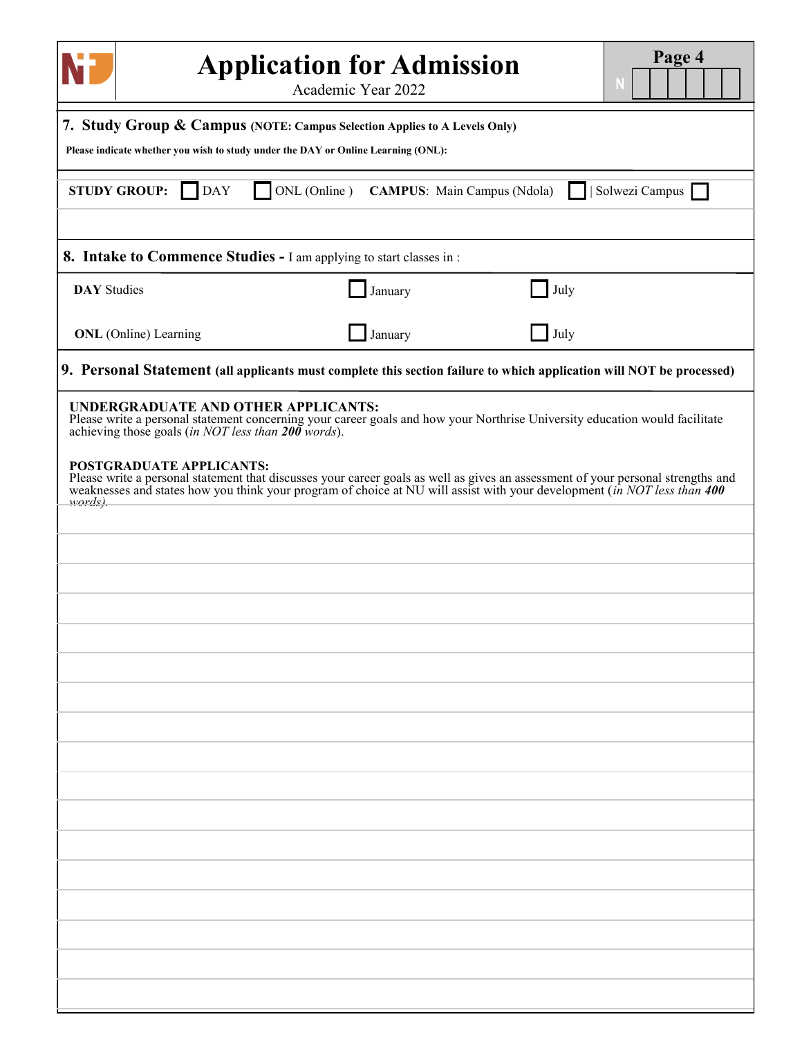|                                                                                                                                                                                                                                                                                                                                                                                                                                                                                                      | <b>Application for Admission</b><br>Academic Year 2022 |      | Page 4         |
|------------------------------------------------------------------------------------------------------------------------------------------------------------------------------------------------------------------------------------------------------------------------------------------------------------------------------------------------------------------------------------------------------------------------------------------------------------------------------------------------------|--------------------------------------------------------|------|----------------|
| 7. Study Group & Campus (NOTE: Campus Selection Applies to A Levels Only)<br>Please indicate whether you wish to study under the DAY or Online Learning (ONL):                                                                                                                                                                                                                                                                                                                                       |                                                        |      |                |
| <b>STUDY GROUP:</b><br><b>DAY</b><br>ONL (Online)                                                                                                                                                                                                                                                                                                                                                                                                                                                    | <b>CAMPUS:</b> Main Campus (Ndola)                     |      | Solwezi Campus |
| 8. Intake to Commence Studies - I am applying to start classes in:                                                                                                                                                                                                                                                                                                                                                                                                                                   |                                                        |      |                |
| <b>DAY</b> Studies                                                                                                                                                                                                                                                                                                                                                                                                                                                                                   | January                                                | July |                |
| <b>ONL</b> (Online) Learning                                                                                                                                                                                                                                                                                                                                                                                                                                                                         | January                                                | July |                |
| 9. Personal Statement (all applicants must complete this section failure to which application will NOT be processed)                                                                                                                                                                                                                                                                                                                                                                                 |                                                        |      |                |
| UNDERGRADUATE AND OTHER APPLICANTS:<br>Please write a personal statement concerning your career goals and how your Northrise University education would facilitate<br>achieving those goals (in NOT less than $200$ words).<br>POSTGRADUATE APPLICANTS:<br>Please write a personal statement that discusses your career goals as well as gives an assessment of your personal strengths and weaknesses and states how you think your program of choice at NU will assist with your develo<br>words). |                                                        |      |                |
|                                                                                                                                                                                                                                                                                                                                                                                                                                                                                                      |                                                        |      |                |
|                                                                                                                                                                                                                                                                                                                                                                                                                                                                                                      |                                                        |      |                |
|                                                                                                                                                                                                                                                                                                                                                                                                                                                                                                      |                                                        |      |                |
|                                                                                                                                                                                                                                                                                                                                                                                                                                                                                                      |                                                        |      |                |
|                                                                                                                                                                                                                                                                                                                                                                                                                                                                                                      |                                                        |      |                |
|                                                                                                                                                                                                                                                                                                                                                                                                                                                                                                      |                                                        |      |                |
|                                                                                                                                                                                                                                                                                                                                                                                                                                                                                                      |                                                        |      |                |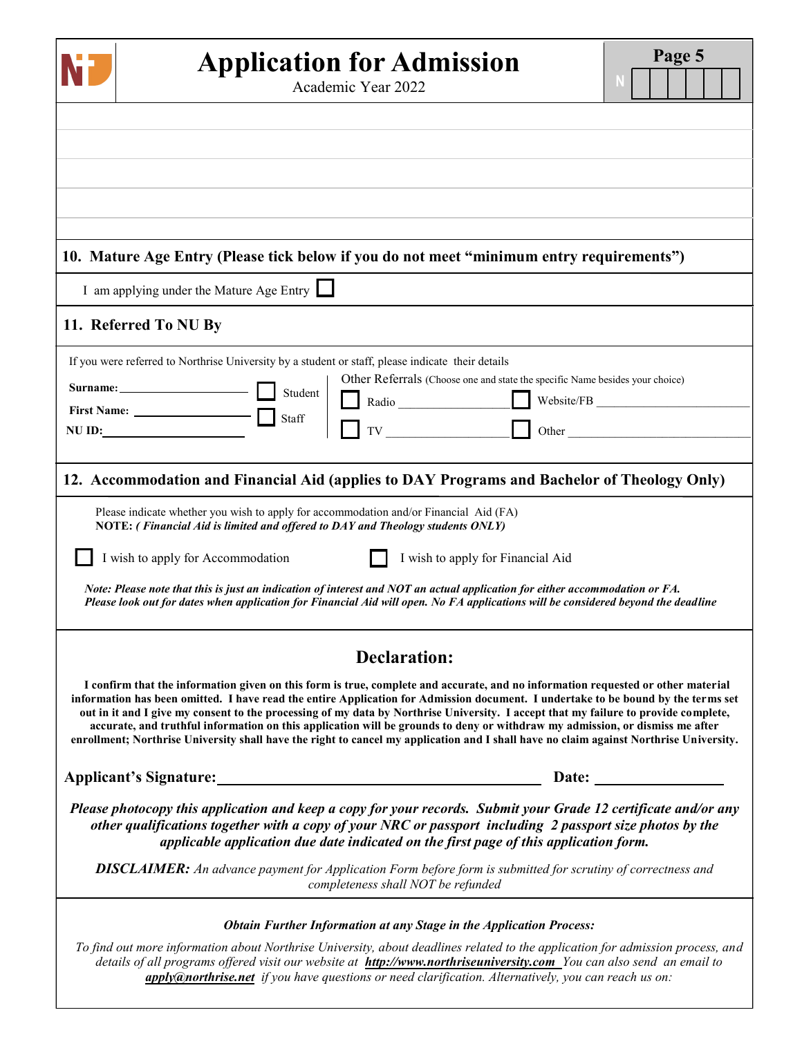| <b>Application for Admission</b><br>Academic Year 2022                                                                                                                                                                                                                                                                                                                                                                                                                                                                                                                                                                                                                                 | Page 5 |
|----------------------------------------------------------------------------------------------------------------------------------------------------------------------------------------------------------------------------------------------------------------------------------------------------------------------------------------------------------------------------------------------------------------------------------------------------------------------------------------------------------------------------------------------------------------------------------------------------------------------------------------------------------------------------------------|--------|
|                                                                                                                                                                                                                                                                                                                                                                                                                                                                                                                                                                                                                                                                                        |        |
|                                                                                                                                                                                                                                                                                                                                                                                                                                                                                                                                                                                                                                                                                        |        |
|                                                                                                                                                                                                                                                                                                                                                                                                                                                                                                                                                                                                                                                                                        |        |
|                                                                                                                                                                                                                                                                                                                                                                                                                                                                                                                                                                                                                                                                                        |        |
| 10. Mature Age Entry (Please tick below if you do not meet "minimum entry requirements")                                                                                                                                                                                                                                                                                                                                                                                                                                                                                                                                                                                               |        |
| I am applying under the Mature Age Entry                                                                                                                                                                                                                                                                                                                                                                                                                                                                                                                                                                                                                                               |        |
| 11. Referred To NU By                                                                                                                                                                                                                                                                                                                                                                                                                                                                                                                                                                                                                                                                  |        |
| If you were referred to Northrise University by a student or staff, please indicate their details<br>Other Referrals (Choose one and state the specific Name besides your choice)<br>Student<br>Radio Website/FB<br>TV Other<br>NU ID:                                                                                                                                                                                                                                                                                                                                                                                                                                                 |        |
| 12. Accommodation and Financial Aid (applies to DAY Programs and Bachelor of Theology Only)                                                                                                                                                                                                                                                                                                                                                                                                                                                                                                                                                                                            |        |
| Please indicate whether you wish to apply for accommodation and/or Financial Aid (FA)<br>NOTE: (Financial Aid is limited and offered to DAY and Theology students ONLY)<br>I wish to apply for Accommodation<br>I wish to apply for Financial Aid                                                                                                                                                                                                                                                                                                                                                                                                                                      |        |
| Note: Please note that this is just an indication of interest and NOT an actual application for either accommodation or FA.<br>Please look out for dates when application for Financial Aid will open. No FA applications will be considered beyond the deadline                                                                                                                                                                                                                                                                                                                                                                                                                       |        |
| <b>Declaration:</b>                                                                                                                                                                                                                                                                                                                                                                                                                                                                                                                                                                                                                                                                    |        |
| I confirm that the information given on this form is true, complete and accurate, and no information requested or other material<br>information has been omitted. I have read the entire Application for Admission document. I undertake to be bound by the terms set<br>out in it and I give my consent to the processing of my data by Northrise University. I accept that my failure to provide complete,<br>accurate, and truthful information on this application will be grounds to deny or withdraw my admission, or dismiss me after<br>enrollment; Northrise University shall have the right to cancel my application and I shall have no claim against Northrise University. |        |
|                                                                                                                                                                                                                                                                                                                                                                                                                                                                                                                                                                                                                                                                                        |        |
| Please photocopy this application and keep a copy for your records. Submit your Grade 12 certificate and/or any<br>other qualifications together with a copy of your NRC or passport including 2 passport size photos by the<br>applicable application due date indicated on the first page of this application form.                                                                                                                                                                                                                                                                                                                                                                  |        |
| <b>DISCLAIMER:</b> An advance payment for Application Form before form is submitted for scrutiny of correctness and<br>completeness shall NOT be refunded                                                                                                                                                                                                                                                                                                                                                                                                                                                                                                                              |        |
| <b>Obtain Further Information at any Stage in the Application Process:</b>                                                                                                                                                                                                                                                                                                                                                                                                                                                                                                                                                                                                             |        |
| To find out more information about Northrise University, about deadlines related to the application for admission process, and<br>details of all programs offered visit our website at http://www.northriseuniversity.com You can also send an email to<br>apply@northrise.net if you have questions or need clarification. Alternatively, you can reach us on:                                                                                                                                                                                                                                                                                                                        |        |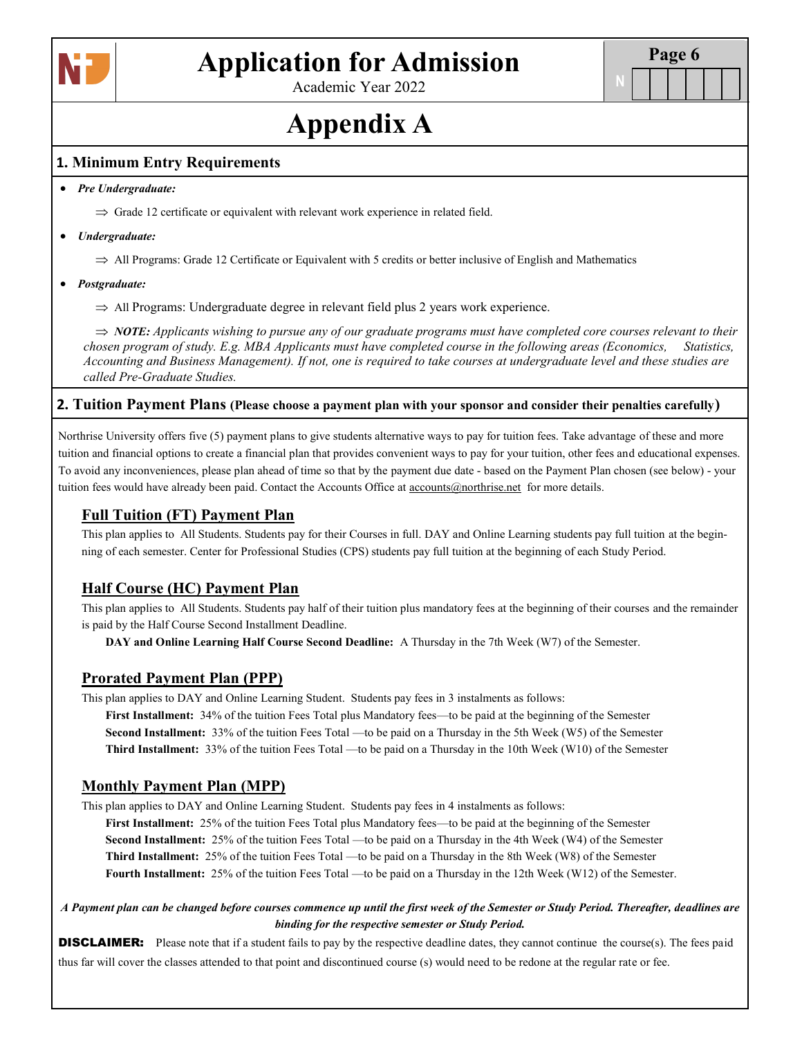

Academic Year 2022

# **Appendix A**

### **1. Minimum Entry Requirements**

#### *Pre Undergraduate:*

 $\Rightarrow$  Grade 12 certificate or equivalent with relevant work experience in related field.

#### *Undergraduate:*

 $\Rightarrow$  All Programs: Grade 12 Certificate or Equivalent with 5 credits or better inclusive of English and Mathematics

#### *Postgraduate:*

 $\Rightarrow$  All Programs: Undergraduate degree in relevant field plus 2 years work experience.

 $\Rightarrow$  *NOTE: Applicants wishing to pursue any of our graduate programs must have completed core courses relevant to their chosen program of study. E.g. MBA Applicants must have completed course in the following areas (Economics, Statistics, Accounting and Business Management). If not, one is required to take courses at undergraduate level and these studies are called Pre-Graduate Studies.* 

#### **2. Tuition Payment Plans (Please choose a payment plan with your sponsor and consider their penalties carefully)**

Northrise University offers five (5) payment plans to give students alternative ways to pay for tuition fees. Take advantage of these and more tuition and financial options to create a financial plan that provides convenient ways to pay for your tuition, other fees and educational expenses. To avoid any inconveniences, please plan ahead of time so that by the payment due date - based on the Payment Plan chosen (see below) - your tuition fees would have already been paid. Contact the Accounts Office at **accounts**@northrise.net for more details.

### **Full Tuition (FT) Payment Plan**

This plan applies to All Students. Students pay for their Courses in full. DAY and Online Learning students pay full tuition at the beginning of each semester. Center for Professional Studies (CPS) students pay full tuition at the beginning of each Study Period.

# **Half Course (HC) Payment Plan**

This plan applies to All Students. Students pay half of their tuition plus mandatory fees at the beginning of their courses and the remainder is paid by the Half Course Second Installment Deadline.

**DAY and Online Learning Half Course Second Deadline:** A Thursday in the 7th Week (W7) of the Semester.

### **Prorated Payment Plan (PPP)**

This plan applies to DAY and Online Learning Student. Students pay fees in 3 instalments as follows:

**First Installment:** 34% of the tuition Fees Total plus Mandatory fees—to be paid at the beginning of the Semester **Second Installment:** 33% of the tuition Fees Total —to be paid on a Thursday in the 5th Week (W5) of the Semester **Third Installment:** 33% of the tuition Fees Total —to be paid on a Thursday in the 10th Week (W10) of the Semester

### **Monthly Payment Plan (MPP)**

This plan applies to DAY and Online Learning Student. Students pay fees in 4 instalments as follows:

**First Installment:** 25% of the tuition Fees Total plus Mandatory fees—to be paid at the beginning of the Semester **Second Installment:** 25% of the tuition Fees Total —to be paid on a Thursday in the 4th Week (W4) of the Semester **Third Installment:** 25% of the tuition Fees Total —to be paid on a Thursday in the 8th Week (W8) of the Semester **Fourth Installment:** 25% of the tuition Fees Total —to be paid on a Thursday in the 12th Week (W12) of the Semester.

*A Payment plan can be changed before courses commence up until the first week of the Semester or Study Period. Thereafter, deadlines are binding for the respective semester or Study Period.* 

**DISCLAIMER:** Please note that if a student fails to pay by the respective deadline dates, they cannot continue the course(s). The fees paid thus far will cover the classes attended to that point and discontinued course (s) would need to be redone at the regular rate or fee.

**N**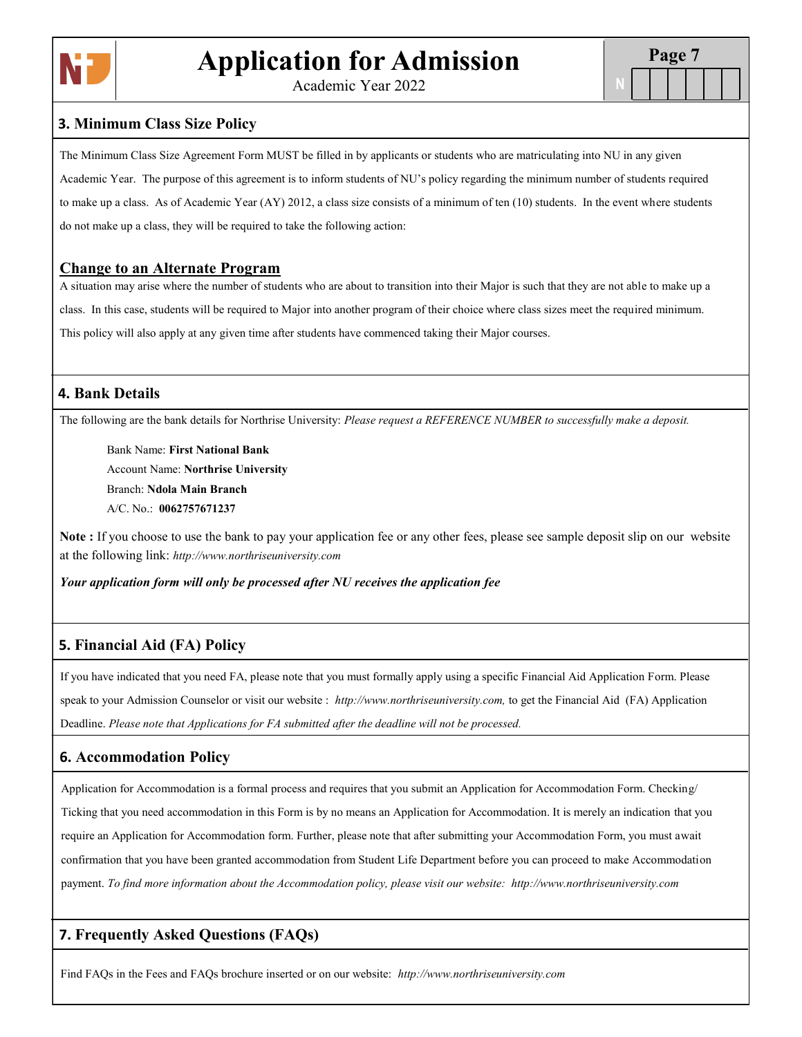

Academic Year 2022

**N**

#### **3. Minimum Class Size Policy**

The Minimum Class Size Agreement Form MUST be filled in by applicants or students who are matriculating into NU in any given Academic Year. The purpose of this agreement is to inform students of NU's policy regarding the minimum number of students required to make up a class. As of Academic Year (AY) 2012, a class size consists of a minimum of ten (10) students. In the event where students do not make up a class, they will be required to take the following action:

#### **Change to an Alternate Program**

A situation may arise where the number of students who are about to transition into their Major is such that they are not able to make up a class. In this case, students will be required to Major into another program of their choice where class sizes meet the required minimum. This policy will also apply at any given time after students have commenced taking their Major courses.

## **4. Bank Details**

The following are the bank details for Northrise University: *Please request a REFERENCE NUMBER to successfully make a deposit.* 

Bank Name: **First National Bank** Account Name: **Northrise University** Branch: **Ndola Main Branch** A/C. No.: **0062757671237**

**Note :** If you choose to use the bank to pay your application fee or any other fees, please see sample deposit slip on our website at the following link: *http://www.northriseuniversity.com*

*Your application form will only be processed after NU receives the application fee*

# **5. Financial Aid (FA) Policy**

If you have indicated that you need FA, please note that you must formally apply using a specific Financial Aid Application Form. Please speak to your Admission Counselor or visit our website : *http://www.northriseuniversity.com,* to get the Financial Aid (FA) Application Deadline. *Please note that Applications for FA submitted after the deadline will not be processed.*

# **6. Accommodation Policy**

Application for Accommodation is a formal process and requires that you submit an Application for Accommodation Form. Checking/ Ticking that you need accommodation in this Form is by no means an Application for Accommodation. It is merely an indication that you require an Application for Accommodation form. Further, please note that after submitting your Accommodation Form, you must await confirmation that you have been granted accommodation from Student Life Department before you can proceed to make Accommodation payment. *To find more information about the Accommodation policy, please visit our website: http://www.northriseuniversity.com*

# **7. Frequently Asked Questions (FAQs)**

Find FAQs in the Fees and FAQs brochure inserted or on our website: *http://www.northriseuniversity.com*